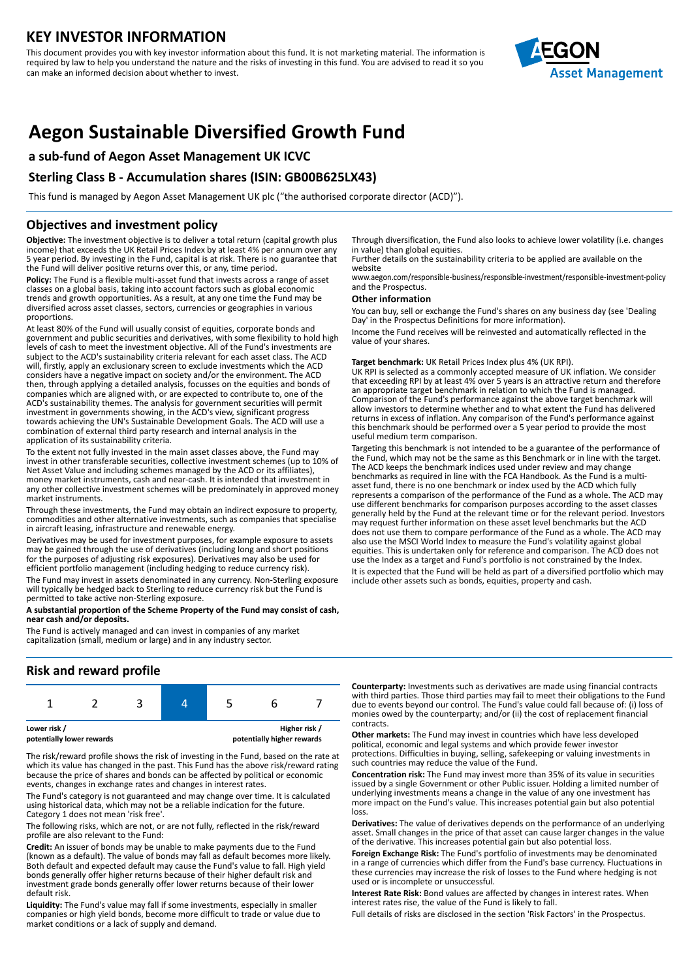# **KEY INVESTOR INFORMATION**

This document provides you with key investor information about this fund. It is not marketing material. The information is required by law to help you understand the nature and the risks of investing in this fund. You are advised to read it so you can make an informed decision about whether to invest.



# **Aegon Sustainable Diversified Growth Fund**

### **a sub-fund of Aegon Asset Management UK ICVC**

### **Sterling Class B - Accumulation shares (ISIN: GB00B625LX43)**

This fund is managed by Aegon Asset Management UK plc ("the authorised corporate director (ACD)").

### **Objectives and investment policy**

**Objective:** The investment objective is to deliver a total return (capital growth plus income) that exceeds the UK Retail Prices Index by at least 4% per annum over any 5 year period. By investing in the Fund, capital is at risk. There is no guarantee that the Fund will deliver positive returns over this, or any, time period.

**Policy:** The Fund is a flexible multi-asset fund that invests across a range of asset classes on a global basis, taking into account factors such as global economic trends and growth opportunities. As a result, at any one time the Fund may be diversified across asset classes, sectors, currencies or geographies in various proportions.

At least 80% of the Fund will usually consist of equities, corporate bonds and government and public securities and derivatives, with some flexibility to hold high levels of cash to meet the investment objective. All of the Fund's investments are subject to the ACD's sustainability criteria relevant for each asset class. The ACD will, firstly, apply an exclusionary screen to exclude investments which the ACD considers have a negative impact on society and/or the environment. The ACD then, through applying a detailed analysis, focusses on the equities and bonds of companies which are aligned with, or are expected to contribute to, one of the ACD's sustainability themes. The analysis for government securities will permit investment in governments showing, in the ACD's view, significant progress towards achieving the UN's Sustainable Development Goals. The ACD will use a combination of external third party research and internal analysis in the application of its sustainability criteria.

To the extent not fully invested in the main asset classes above, the Fund may invest in other transferable securities, collective investment schemes (up to 10% of Net Asset Value and including schemes managed by the ACD or its affiliates), money market instruments, cash and near-cash. It is intended that investment in any other collective investment schemes will be predominately in approved money market instruments.

Through these investments, the Fund may obtain an indirect exposure to property, commodities and other alternative investments, such as companies that specialise in aircraft leasing, infrastructure and renewable energy.

Derivatives may be used for investment purposes, for example exposure to assets may be gained through the use of derivatives (including long and short positions for the purposes of adjusting risk exposures). Derivatives may also be used for efficient portfolio management (including hedging to reduce currency risk).

The Fund may invest in assets denominated in any currency. Non-Sterling exposure will typically be hedged back to Sterling to reduce currency risk but the Fund is permitted to take active non-Sterling exposure.

#### **A substantial proportion of the Scheme Property of the Fund may consist of cash, near cash and/or deposits.**

The Fund is actively managed and can invest in companies of any market capitalization (small, medium or large) and in any industry sector.

### **Risk and reward profile**

The risk/reward profile shows the risk of investing in the Fund, based on the rate at which its value has changed in the past. This Fund has the above risk/reward rating because the price of shares and bonds can be affected by political or economic events, changes in exchange rates and changes in interest rates.

The Fund's category is not guaranteed and may change over time. It is calculated using historical data, which may not be a reliable indication for the future. Category 1 does not mean 'risk free'.

The following risks, which are not, or are not fully, reflected in the risk/reward profile are also relevant to the Fund:

**Credit:** An issuer of bonds may be unable to make payments due to the Fund (known as a default). The value of bonds may fall as default becomes more likely. Both default and expected default may cause the Fund's value to fall. High yield bonds generally offer higher returns because of their higher default risk and investment grade bonds generally offer lower returns because of their lower default risk.

**Liquidity:** The Fund's value may fall if some investments, especially in smaller companies or high yield bonds, become more difficult to trade or value due to market conditions or a lack of supply and demand.

Through diversification, the Fund also looks to achieve lower volatility (i.e. changes in value) than global equities.

Further details on the sustainability criteria to be applied are available on the website

www.aegon.com/responsible-business/responsible-investment/responsible-investment-policy and the Prospectus.

#### **Other information**

You can buy, sell or exchange the Fund's shares on any business day (see 'Dealing Day' in the Prospectus Definitions for more information).

Income the Fund receives will be reinvested and automatically reflected in the value of your shares.

#### **Target benchmark:** UK Retail Prices Index plus 4% (UK RPI).

UK RPI is selected as a commonly accepted measure of UK inflation. We consider that exceeding RPI by at least 4% over 5 years is an attractive return and therefore an appropriate target benchmark in relation to which the Fund is managed. Comparison of the Fund's performance against the above target benchmark will allow investors to determine whether and to what extent the Fund has delivered returns in excess of inflation. Any comparison of the Fund's performance against this benchmark should be performed over a 5 year period to provide the most useful medium term comparison.

Targeting this benchmark is not intended to be a guarantee of the performance of the Fund, which may not be the same as this Benchmark or in line with the target. The ACD keeps the benchmark indices used under review and may change benchmarks as required in line with the FCA Handbook. As the Fund is a multiasset fund, there is no one benchmark or index used by the ACD which fully represents a comparison of the performance of the Fund as a whole. The ACD may use different benchmarks for comparison purposes according to the asset classes generally held by the Fund at the relevant time or for the relevant period. Investors may request further information on these asset level benchmarks but the ACD does not use them to compare performance of the Fund as a whole. The ACD may also use the MSCI World Index to measure the Fund's volatility against global equities. This is undertaken only for reference and comparison. The ACD does not use the Index as a target and Fund's portfolio is not constrained by the Index. It is expected that the Fund will be held as part of a diversified portfolio which may include other assets such as bonds, equities, property and cash.

**Counterparty:** Investments such as derivatives are made using financial contracts with third parties. Those third parties may fail to meet their obligations to the Fund due to events beyond our control. The Fund's value could fall because of: (i) loss of monies owed by the counterparty; and/or (ii) the cost of replacement financial contracts.

**Other markets:** The Fund may invest in countries which have less developed political, economic and legal systems and which provide fewer investor protections. Difficulties in buying, selling, safekeeping or valuing investments in such countries may reduce the value of the Fund.

**Concentration risk:** The Fund may invest more than 35% of its value in securities issued by a single Government or other Public issuer. Holding a limited number of underlying investments means a change in the value of any one investment has more impact on the Fund's value. This increases potential gain but also potential loss.

**Derivatives:** The value of derivatives depends on the performance of an underlying asset. Small changes in the price of that asset can cause larger changes in the value of the derivative. This increases potential gain but also potential loss.

**Foreign Exchange Risk:** The Fund's portfolio of investments may be denominated in a range of currencies which differ from the Fund's base currency. Fluctuations in these currencies may increase the risk of losses to the Fund where hedging is not used or is incomplete or unsuccessful.

**Interest Rate Risk:** Bond values are affected by changes in interest rates. When interest rates rise, the value of the Fund is likely to fall.

Full details of risks are disclosed in the section 'Risk Factors' in the Prospectus.